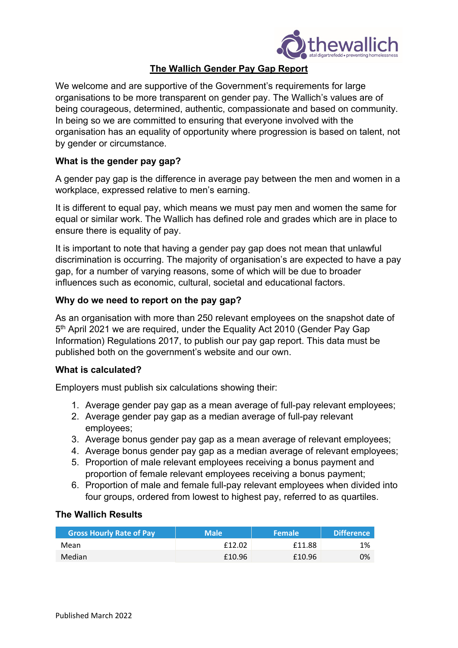

# **The Wallich Gender Pay Gap Report**

We welcome and are supportive of the Government's requirements for large organisations to be more transparent on gender pay. The Wallich's values are of being courageous, determined, authentic, compassionate and based on community. In being so we are committed to ensuring that everyone involved with the organisation has an equality of opportunity where progression is based on talent, not by gender or circumstance.

### **What is the gender pay gap?**

A gender pay gap is the difference in average pay between the men and women in a workplace, expressed relative to men's earning.

It is different to equal pay, which means we must pay men and women the same for equal or similar work. The Wallich has defined role and grades which are in place to ensure there is equality of pay.

It is important to note that having a gender pay gap does not mean that unlawful discrimination is occurring. The majority of organisation's are expected to have a pay gap, for a number of varying reasons, some of which will be due to broader influences such as economic, cultural, societal and educational factors.

## **Why do we need to report on the pay gap?**

As an organisation with more than 250 relevant employees on the snapshot date of 5<sup>th</sup> April 2021 we are required, under the Equality Act 2010 (Gender Pay Gap Information) Regulations 2017, to publish our pay gap report. This data must be published both on the government's website and our own.

### **What is calculated?**

Employers must publish six calculations showing their:

- 1. Average gender pay gap as a mean average of full-pay relevant employees;
- 2. Average gender pay gap as a median average of full-pay relevant employees;
- 3. Average bonus gender pay gap as a mean average of relevant employees;
- 4. Average bonus gender pay gap as a median average of relevant employees;
- 5. Proportion of male relevant employees receiving a bonus payment and proportion of female relevant employees receiving a bonus payment;
- 6. Proportion of male and female full-pay relevant employees when divided into four groups, ordered from lowest to highest pay, referred to as quartiles.

#### **The Wallich Results**

| <b>Gross Hourly Rate of Pay</b> | <b>Male</b> | <b>Female</b> | <b>Difference</b> |
|---------------------------------|-------------|---------------|-------------------|
| Mean                            | £12.02      | £11.88        | 1%                |
| Median                          | £10.96      | £10.96        | 0%                |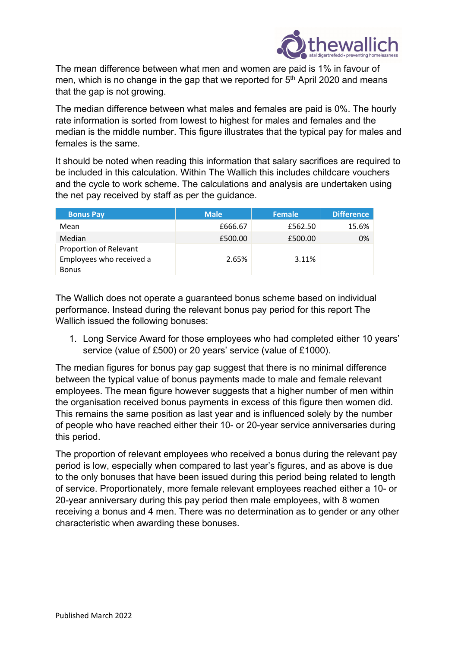

The mean difference between what men and women are paid is 1% in favour of men, which is no change in the gap that we reported for 5<sup>th</sup> April 2020 and means that the gap is not growing.

The median difference between what males and females are paid is 0%. The hourly rate information is sorted from lowest to highest for males and females and the median is the middle number. This figure illustrates that the typical pay for males and females is the same.

It should be noted when reading this information that salary sacrifices are required to be included in this calculation. Within The Wallich this includes childcare vouchers and the cycle to work scheme. The calculations and analysis are undertaken using the net pay received by staff as per the guidance.

| <b>Bonus Pay</b>                                                   | <b>Male</b> | <b>Female</b> | <b>Difference</b> |
|--------------------------------------------------------------------|-------------|---------------|-------------------|
| Mean                                                               | £666.67     | £562.50       | 15.6%             |
| Median                                                             | £500.00     | £500.00       | 0%                |
| Proportion of Relevant<br>Employees who received a<br><b>Bonus</b> | 2.65%       | 3.11%         |                   |

The Wallich does not operate a guaranteed bonus scheme based on individual performance. Instead during the relevant bonus pay period for this report The Wallich issued the following bonuses:

1. Long Service Award for those employees who had completed either 10 years' service (value of £500) or 20 years' service (value of £1000).

The median figures for bonus pay gap suggest that there is no minimal difference between the typical value of bonus payments made to male and female relevant employees. The mean figure however suggests that a higher number of men within the organisation received bonus payments in excess of this figure then women did. This remains the same position as last year and is influenced solely by the number of people who have reached either their 10- or 20-year service anniversaries during this period.

The proportion of relevant employees who received a bonus during the relevant pay period is low, especially when compared to last year's figures, and as above is due to the only bonuses that have been issued during this period being related to length of service. Proportionately, more female relevant employees reached either a 10- or 20-year anniversary during this pay period then male employees, with 8 women receiving a bonus and 4 men. There was no determination as to gender or any other characteristic when awarding these bonuses.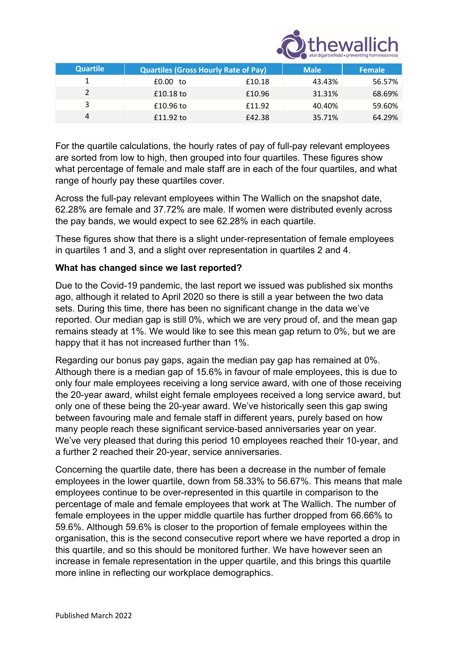

| <b>Quartile</b> | <b>Quartiles (Gross Hourly Rate of Pay)</b> |        | <b>Male</b> | <b>Female</b> |
|-----------------|---------------------------------------------|--------|-------------|---------------|
|                 | £0.00 to                                    | £10.18 | 43.43%      | 56.57%        |
|                 | £10.18 to                                   | £10.96 | 31.31%      | 68.69%        |
|                 | £10.96 to                                   | £11.92 | 40.40%      | 59.60%        |
| 4               | £11.92 to                                   | £42.38 | 35.71%      | 64.29%        |

For the quartile calculations, the hourly rates of pay of full-pay relevant employees are sorted from low to high, then grouped into four quartiles. These figures show what percentage of female and male staff are in each of the four quartiles, and what range of hourly pay these quartiles cover.

Across the full-pay relevant employees within The Wallich on the snapshot date, 62.28% are female and 37.72% are male. If women were distributed evenly across the pay bands, we would expect to see 62.28% in each quartile.

These figures show that there is a slight under-representation of female employees in quartiles 1 and 3, and a slight over representation in quartiles 2 and 4.

## **What has changed since we last reported?**

Due to the Covid-19 pandemic, the last report we issued was published six months ago, although it related to April 2020 so there is still a year between the two data sets. During this time, there has been no significant change in the data we've reported. Our median gap is still 0%, which we are very proud of, and the mean gap remains steady at 1%. We would like to see this mean gap return to 0%, but we are happy that it has not increased further than 1%.

Regarding our bonus pay gaps, again the median pay gap has remained at 0%. Although there is a median gap of 15.6% in favour of male employees, this is due to only four male employees receiving a long service award, with one of those receiving the 20-year award, whilst eight female employees received a long service award, but only one of these being the 20-year award. We've historically seen this gap swing between favouring male and female staff in different years, purely based on how many people reach these significant service-based anniversaries year on year. We've very pleased that during this period 10 employees reached their 10-year, and a further 2 reached their 20-year, service anniversaries.

Concerning the quartile date, there has been a decrease in the number of female employees in the lower quartile, down from 58.33% to 56.67%. This means that male employees continue to be over-represented in this quartile in comparison to the percentage of male and female employees that work at The Wallich. The number of female employees in the upper middle quartile has further dropped from 66.66% to 59.6%. Although 59.6% is closer to the proportion of female employees within the organisation, this is the second consecutive report where we have reported a drop in this quartile, and so this should be monitored further. We have however seen an increase in female representation in the upper quartile, and this brings this quartile more inline in reflecting our workplace demographics.